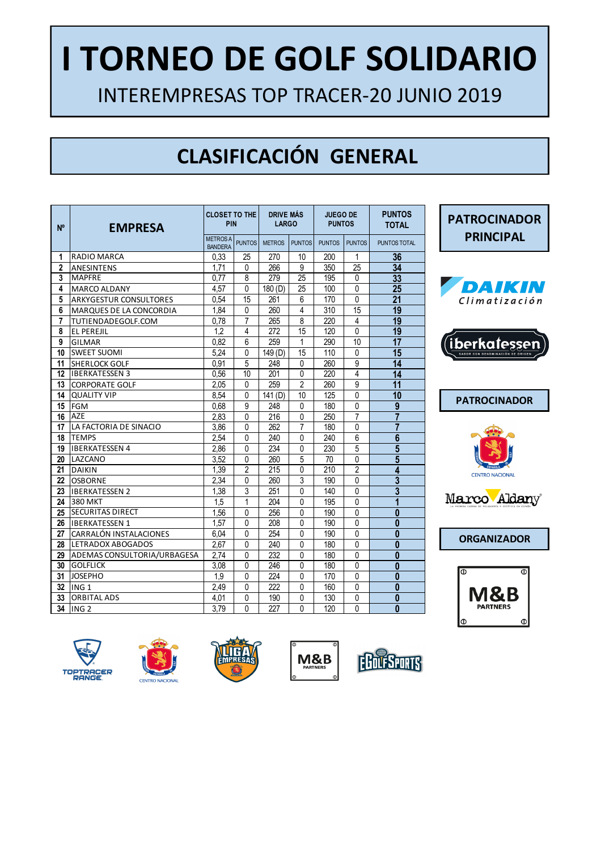# **I TORNEO DE GOLF SOLIDARIO**

INTEREMPRESAS TOP TRACER-20 JUNIO 2019

# **CLASIFICACIÓN GENERAL**

| N <sup>o</sup>   | <b>EMPRESA</b>              | <b>CLOSET TO THE</b><br>PIN      |                | <b>DRIVE MÁS</b><br><b>LARGO</b> |                | <b>JUEGO DE</b><br><b>PUNTOS</b> |                | <b>PUNTOS</b><br><b>TOTAL</b> |
|------------------|-----------------------------|----------------------------------|----------------|----------------------------------|----------------|----------------------------------|----------------|-------------------------------|
|                  |                             | <b>METROSA</b><br><b>BANDERA</b> | <b>PUNTOS</b>  | <b>METROS</b>                    | <b>PUNTOS</b>  | <b>PUNTOS</b>                    | <b>PUNTOS</b>  | PUNTOS TOTAL                  |
| 1                | RADIO MARCA                 | 0,33                             | 25             | 270                              | 10             | 200                              | $\mathbf{1}$   | 36                            |
| $\mathbf{2}$     | <b>ANESINTENS</b>           | 1,71                             | $\mathbf 0$    | 266                              | 9              | 350                              | 25             | 34                            |
| 3                | <b>MAPFRE</b>               | 0.77                             | 8              | 279                              | 25             | 195                              | 0              | 33                            |
| 4                | MARCO ALDANY                | 4,57                             | 0              | 180 (D)                          | 25             | 100                              | 0              | 25                            |
| 5                | ARKYGESTUR CONSULTORES      | 0.54                             | 15             | 261                              | 6              | 170                              | 0              | 21                            |
| 6                | MARQUES DE LA CONCORDIA     | 1.84                             | 0              | 260                              | 4              | 310                              | 15             | 19                            |
| 7                | TUTIENDADEGOLF.COM          | 0.78                             | 7              | 265                              | 8              | 220                              | 4              | 19                            |
| 8                | <b>EL PEREJIL</b>           | 1.2                              | 4              | 272                              | 15             | 120                              | 0              | 19                            |
| 9                | GILMAR                      | 0.82                             | 6              | 259                              | 1              | 290                              | 10             | $\overline{17}$               |
| 10               | <b>SWEET SUOMI</b>          | 5.24                             | 0              | 149(D)                           | 15             | 110                              | 0              | 15                            |
| 11               | <b>SHERLOCK GOLF</b>        | 0.91                             | 5              | 248                              | $\mathbf{0}$   | 260                              | $\overline{9}$ | 14                            |
| 12               | <b>IBERKATESSEN 3</b>       | 0.56                             | 10             | 201                              | 0              | 220                              | 4              | 14                            |
| 13               | <b>CORPORATE GOLF</b>       | 2.05                             | $\Omega$       | 259                              | $\overline{2}$ | 260                              | 9              | $\overline{11}$               |
| 14               | <b>QUALITY VIP</b>          | 8.54                             | 0              | 141(D)                           | 10             | 125                              | 0              | $\overline{10}$               |
| 15               | <b>FGM</b>                  | 0,68                             | 9              | 248                              | 0              | 180                              | 0              | $\overline{9}$                |
| 16               | AZE                         | 2,83                             | $\overline{0}$ | 216                              | $\overline{0}$ | 250                              | $\overline{7}$ | $\overline{7}$                |
| 17               | LA FACTORIA DE SINACIO      | 3.86                             | 0              | 262                              | $\overline{7}$ | 180                              | 0              | $\overline{7}$                |
| 18               | <b>TEMPS</b>                | 2,54                             | 0              | 240                              | $\mathbf 0$    | 240                              | 6              | $\overline{6}$                |
| 19               | <b>IBERKATESSEN 4</b>       | 2.86                             | 0              | 234                              | $\mathbf{0}$   | 230                              | 5              | 5                             |
| 20               | LAZCANO                     | 3,52                             | 0              | 260                              | 5              | 70                               | 0              | $\overline{5}$                |
| 21               | <b>DAIKIN</b>               | 1.39                             | 2              | 215                              | 0              | 210                              | 2              | 4                             |
| $22\phantom{.0}$ | <b>OSBORNE</b>              | 2,34                             | 0              | 260                              | 3              | 190                              | 0              | 3                             |
| 23               | <b>IBERKATESSEN 2</b>       | 1,38                             | 3              | 251                              | 0              | 140                              | $\mathbf{0}$   | $\overline{3}$                |
| 24               | <b>380 MKT</b>              | 1,5                              | 1              | 204                              | 0              | 195                              | 0              | 1                             |
| 25               | <b>SECURITAS DIRECT</b>     | 1,56                             | 0              | 256                              | 0              | 190                              | $\mathbf{0}$   | 0                             |
| 26               | <b>IBERKATESSEN 1</b>       | 1.57                             | 0              | 208                              | 0              | 190                              | 0              | 0                             |
| 27               | CARRALÓN INSTALACIONES      | 6.04                             | $\mathbf{0}$   | 254                              | $\mathbf{0}$   | 190                              | $\mathbf{0}$   | $\bf{0}$                      |
| 28               | LETRADOX ABOGADOS           | 2.67                             | 0              | 240                              | 0              | 180                              | 0              | $\bf{0}$                      |
| 29               | ADEMAS CONSULTORIA/URBAGESA | 2,74                             | 0              | 232                              | $\mathbf{0}$   | 180                              | 0              | $\bf{0}$                      |
| 30               | <b>GOLFLICK</b>             | 3,08                             | 0              | 246                              | $\mathbf{0}$   | 180                              | $\pmb{0}$      | $\bf{0}$                      |
| 31               | <b>JOSEPHO</b>              | 1.9                              | 0              | 224                              | $\mathbf{0}$   | 170                              | 0              | $\mathbf{0}$                  |
| 32               | ING <sub>1</sub>            | 2.49                             | 0              | 222                              | 0              | 160                              | 0              | $\bf{0}$                      |
| 33               | <b>ORBITAL ADS</b>          | 4.01                             | 0              | 190                              | 0              | 130                              | 0              | $\mathbf{0}$                  |
|                  | 34 ING 2                    | 3.79                             | $\Omega$       | 227                              | $\Omega$       | 120                              | 0              | $\mathbf{0}$                  |

























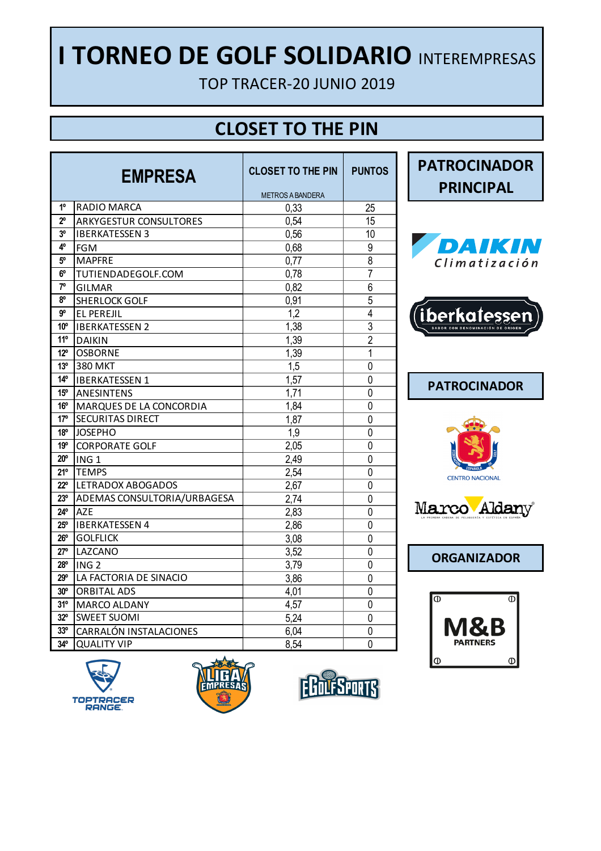## **I TORNEO DE GOLF SOLIDARIO** INTEREMPRESAS

TOP TRACER-20 JUNIO 2019

#### **CLOSET TO THE PIN**

| <b>EMPRESA</b>  |                               | <b>CLOSET TO THE PIN</b> | <b>PUNTOS</b>  |
|-----------------|-------------------------------|--------------------------|----------------|
|                 |                               | <b>METROS A BANDERA</b>  |                |
| 1 <sup>0</sup>  | <b>RADIO MARCA</b>            | 0.33                     | 25             |
| $2^{\circ}$     | <b>ARKYGESTUR CONSULTORES</b> | 0,54                     | 15             |
| 3°              | <b>IBERKATESSEN 3</b>         | 0,56                     | 10             |
| 4°              | <b>FGM</b>                    | 0,68                     | 9              |
| $5^{\circ}$     | <b>MAPFRE</b>                 | 0,77                     | 8              |
| 6°              | TUTIENDADEGOLF.COM            | 0,78                     | 7              |
| $7^{\circ}$     | <b>GILMAR</b>                 | 0,82                     | 6              |
| 80              | <b>SHERLOCK GOLF</b>          | 0,91                     | 5              |
| g°              | EL PEREJIL                    | 1.2                      | 4              |
| 10°             | <b>IBERKATESSEN 2</b>         | 1,38                     | $\overline{3}$ |
| $11^{\circ}$    | <b>DAIKIN</b>                 | 1,39                     | $\overline{2}$ |
| $12^{\circ}$    | <b>OSBORNE</b>                | 1,39                     | $\mathbf{1}$   |
| 13 <sup>°</sup> | <b>380 MKT</b>                | 1,5                      | 0              |
| $14^{\circ}$    | <b>IBERKATESSEN 1</b>         | 1,57                     | 0              |
| $15^{\circ}$    | <b>ANESINTENS</b>             | 1,71                     | 0              |
| $16^{\circ}$    | MARQUES DE LA CONCORDIA       | 1,84                     | 0              |
| 17°             | SECURITAS DIRECT              | 1,87                     | 0              |
| 18 <sup>o</sup> | <b>JOSEPHO</b>                | 1,9                      | 0              |
| 19 <sup>o</sup> | <b>CORPORATE GOLF</b>         | 2.05                     | 0              |
| $20^{\circ}$    | ING <sub>1</sub>              | 2.49                     | 0              |
| $21^{\circ}$    | <b>TEMPS</b>                  | 2,54                     | 0              |
| $22^{\circ}$    | <b>LETRADOX ABOGADOS</b>      | 2,67                     | 0              |
| $23^{\circ}$    | ADEMAS CONSULTORIA/URBAGESA   | 2,74                     | 0              |
| $24^{\circ}$    | A7F                           | 2,83                     | 0              |
| $25^{\circ}$    | <b>IBERKATESSEN 4</b>         | 2,86                     | 0              |
| $26^{\circ}$    | <b>GOLFLICK</b>               | 3,08                     | 0              |
| 27°             | LAZCANO                       | 3,52                     | 0              |
| $28^{\circ}$    | ING <sub>2</sub>              | 3,79                     | 0              |
| 29°             | LA FACTORIA DE SINACIO        | 3,86                     | 0              |
| 30 <sup>o</sup> | <b>ORBITAL ADS</b>            | 4,01                     | 0              |
| 31°             | MARCO ALDANY                  | 4,57                     | 0              |
| $32^{\circ}$    | <b>SWEET SUOMI</b>            | 5,24                     | 0              |
| 33 <sup>o</sup> | CARRALÓN INSTALACIONES        | 6,04                     | 0              |
| $34^\circ$      | <b>QUALITY VIP</b>            | 8,54                     | 0              |



**EMPRESA PATROCINADOR** 

**PRINCIPAL**

















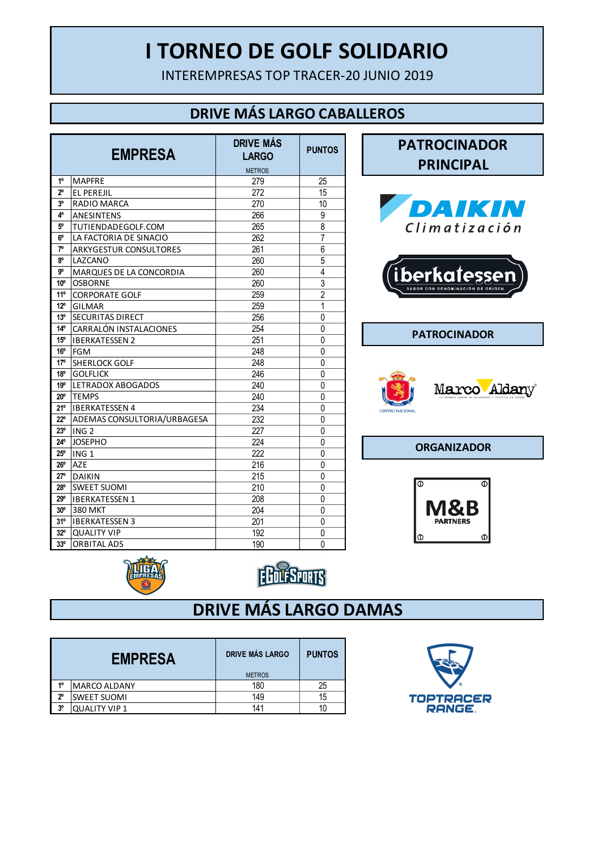#### **I TORNEO DE GOLF SOLIDARIO**

INTEREMPRESAS TOP TRACER-20 JUNIO 2019

#### **DRIVE MÁS LARGO CABALLEROS**

|                 | <b>EMPRESA</b>                | <b>DRIVE MÁS</b><br><b>LARGO</b> | <b>PUNTOS</b>  |
|-----------------|-------------------------------|----------------------------------|----------------|
|                 |                               | <b>METROS</b>                    |                |
| $1^{\circ}$     | <b>MAPFRE</b>                 | 279                              | 25             |
| $2^{\circ}$     | <b>EL PEREJIL</b>             | 272                              | 15             |
| 3°              | <b>RADIO MARCA</b>            | 270                              | 10             |
| 4°              | <b>ANESINTENS</b>             | 266                              | 9              |
| 5°              | TUTIENDADEGOLF.COM            | 265                              | 8              |
| 6°              | LA FACTORIA DE SINACIO        | 262                              | 7              |
| 7°              | <b>ARKYGESTUR CONSULTORES</b> | 261                              | 6              |
| 8°              | LAZCANO                       | 260                              | 5              |
| g°              | MARQUES DE LA CONCORDIA       | 260                              | 4              |
| 10 <sup>o</sup> | <b>OSBORNE</b>                | 260                              | 3              |
| $11^{\circ}$    | <b>CORPORATE GOLF</b>         | 259                              | $\overline{2}$ |
| $12^{\circ}$    | GILMAR                        | 259                              | $\mathbf{1}$   |
| 13 <sup>°</sup> | SECURITAS DIRECT              | 256                              | 0              |
| $14^{\circ}$    | CARRALÓN INSTALACIONES        | 254                              | 0              |
| $15^{\circ}$    | <b>IBERKATESSEN 2</b>         | 251                              | 0              |
| $16^{\circ}$    | <b>FGM</b>                    | 248                              | 0              |
| 17°             | <b>SHERLOCK GOLF</b>          | 248                              | 0              |
| $18^{\circ}$    | <b>GOLFLICK</b>               | 246                              | $\Omega$       |
| 19°             | <b>LETRADOX ABOGADOS</b>      | 240                              | 0              |
| $20^{\circ}$    | <b>TEMPS</b>                  | 240                              | 0              |
| 21°             | <b>IBERKATESSEN 4</b>         | 234                              | 0              |
| 22°             | ADEMAS CONSULTORIA/URBAGESA   | 232                              | 0              |
| 23°             | ING <sub>2</sub>              | 227                              | $\mathbf 0$    |
| 24°             | <b>JOSEPHO</b>                | 224                              | 0              |
| $25^{\circ}$    | ING <sub>1</sub>              | 222                              | 0              |
| $26^{\circ}$    | <b>AZE</b>                    | 216                              | 0              |
| 27°             | <b>DAIKIN</b>                 | 215                              | 0              |
| 28°             | <b>SWEET SUOMI</b>            | 210                              | 0              |
| 29°             | <b>IBERKATESSEN 1</b>         | 208                              | 0              |
| $30^{\circ}$    | <b>380 MKT</b>                | 204                              | 0              |
| $31^{\circ}$    | <b>IBERKATESSEN 3</b>         | 201                              | 0              |
| $32^{\circ}$    | <b>QUALITY VIP</b>            | 192                              | 0              |
| 33 <sup>o</sup> | <b>ORBITAL ADS</b>            | 190                              | 0              |











**ORGANIZADOR**







#### **DRIVE MÁS LARGO DAMAS**

|                | <b>EMPRESA</b>      | <b>DRIVE MÁS LARGO</b><br><b>METROS</b> | <b>PUNTOS</b> |
|----------------|---------------------|-----------------------------------------|---------------|
| 40             | <b>MARCO ALDANY</b> | 180                                     | 25            |
| $2^{\circ}$    | <b>SWEET SUOMI</b>  | 149                                     | 15            |
| 3 <sup>o</sup> | QUALITY VIP 1       | 141                                     |               |